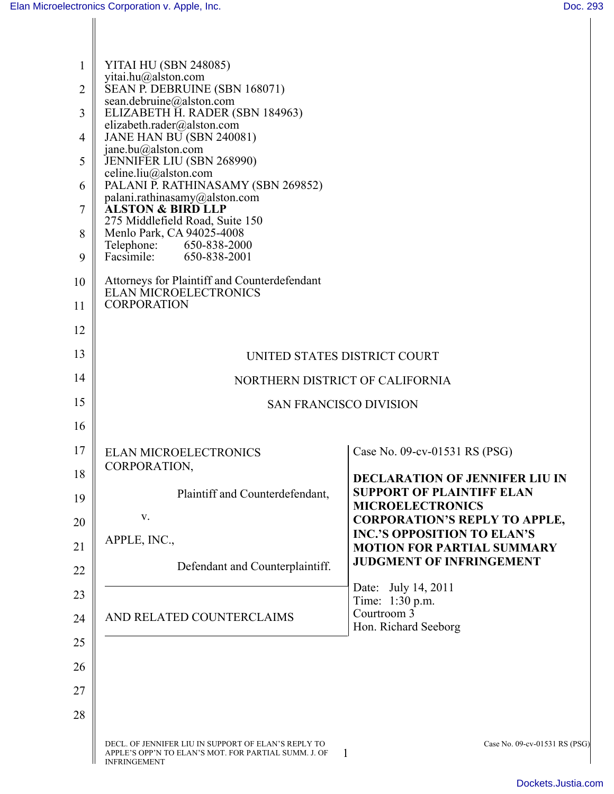| $\mathbf{1}$   | YITAI HU (SBN 248085)                                                                                                              |                                                                         |
|----------------|------------------------------------------------------------------------------------------------------------------------------------|-------------------------------------------------------------------------|
| $\overline{2}$ | yitai.hu@alston.com<br>SEAN P. DEBRUINE (SBN 168071)                                                                               |                                                                         |
| 3              | sean.debruine@alston.com<br>ELIZABETH H. RADER (SBN 184963)                                                                        |                                                                         |
| 4              | elizabeth.rader@alston.com<br>JANE HAN BU (SBN 240081)                                                                             |                                                                         |
| 5              | jane.bu@alston.com<br>JENNIFER LIU (SBN 268990)                                                                                    |                                                                         |
| 6              | celine.liu@alston.com<br>PALANI P. RATHINASAMY (SBN 269852)                                                                        |                                                                         |
| $\tau$         | palani.rathinasamy@alston.com<br><b>ALSTON &amp; BIRD LLP</b>                                                                      |                                                                         |
| 8              | 275 Middlefield Road, Suite 150<br>Menlo Park, CA 94025-4008                                                                       |                                                                         |
| 9              | Telephone: 650-838-2000<br>Facsimile:<br>650-838-2001                                                                              |                                                                         |
| 10             | Attorneys for Plaintiff and Counterdefendant<br><b>ELAN MICROELECTRONICS</b>                                                       |                                                                         |
| 11             | <b>CORPORATION</b>                                                                                                                 |                                                                         |
| 12             |                                                                                                                                    |                                                                         |
| 13             | UNITED STATES DISTRICT COURT                                                                                                       |                                                                         |
| 14             | NORTHERN DISTRICT OF CALIFORNIA                                                                                                    |                                                                         |
| 15             | <b>SAN FRANCISCO DIVISION</b>                                                                                                      |                                                                         |
| 16             |                                                                                                                                    |                                                                         |
| 17             | <b>ELAN MICROELECTRONICS</b>                                                                                                       | Case No. 09-cv-01531 RS (PSG)                                           |
| 18             | CORPORATION,                                                                                                                       | <b>DECLARATION OF JENNIFER LIU IN</b>                                   |
| 19             | Plaintiff and Counterdefendant,                                                                                                    | <b>SUPPORT OF PLAINTIFF ELAN</b><br><b>MICROELECTRONICS</b>             |
| 20             | V.                                                                                                                                 | <b>CORPORATION'S REPLY TO APPLE,</b>                                    |
| 21             | APPLE, INC.,                                                                                                                       | <b>INC.'S OPPOSITION TO ELAN'S</b><br><b>MOTION FOR PARTIAL SUMMARY</b> |
| 22             | Defendant and Counterplaintiff.                                                                                                    | <b>JUDGMENT OF INFRINGEMENT</b>                                         |
| 23             |                                                                                                                                    | Date: July 14, 2011<br>Time: 1:30 p.m.                                  |
| 24             | AND RELATED COUNTERCLAIMS                                                                                                          | Courtroom 3<br>Hon. Richard Seeborg                                     |
| 25             |                                                                                                                                    |                                                                         |
| 26             |                                                                                                                                    |                                                                         |
| 27             |                                                                                                                                    |                                                                         |
| 28             |                                                                                                                                    |                                                                         |
|                | DECL. OF JENNIFER LIU IN SUPPORT OF ELAN'S REPLY TO<br>APPLE'S OPP'N TO ELAN'S MOT. FOR PARTIAL SUMM. J. OF<br><b>INFRINGEMENT</b> | Case No. 09-cv-01531 RS (PSG)<br>1                                      |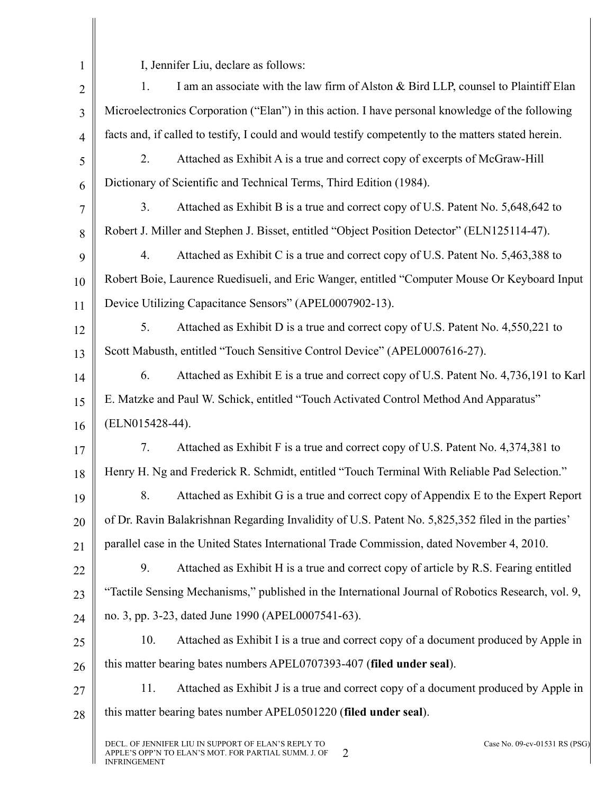1

 $\overline{\mathsf{I}}$ 

 $\mathbb{I}$ 

I, Jennifer Liu, declare as follows:

| $\overline{2}$ | I am an associate with the law firm of Alston & Bird LLP, counsel to Plaintiff Elan<br>1.            |  |
|----------------|------------------------------------------------------------------------------------------------------|--|
| 3              | Microelectronics Corporation ("Elan") in this action. I have personal knowledge of the following     |  |
| $\overline{4}$ | facts and, if called to testify, I could and would testify competently to the matters stated herein. |  |
| 5              | Attached as Exhibit A is a true and correct copy of excerpts of McGraw-Hill<br>2.                    |  |
| 6              | Dictionary of Scientific and Technical Terms, Third Edition (1984).                                  |  |
| $\tau$         | Attached as Exhibit B is a true and correct copy of U.S. Patent No. 5,648,642 to<br>3 <sub>1</sub>   |  |
| 8              | Robert J. Miller and Stephen J. Bisset, entitled "Object Position Detector" (ELN125114-47).          |  |
| 9              | Attached as Exhibit C is a true and correct copy of U.S. Patent No. 5,463,388 to<br>4.               |  |
| 10             | Robert Boie, Laurence Ruedisueli, and Eric Wanger, entitled "Computer Mouse Or Keyboard Input        |  |
| 11             | Device Utilizing Capacitance Sensors" (APEL0007902-13).                                              |  |
| 12             | Attached as Exhibit D is a true and correct copy of U.S. Patent No. 4,550,221 to<br>5.               |  |
| 13             | Scott Mabusth, entitled "Touch Sensitive Control Device" (APEL0007616-27).                           |  |
| 14             | Attached as Exhibit E is a true and correct copy of U.S. Patent No. 4,736,191 to Karl<br>6.          |  |
| 15             | E. Matzke and Paul W. Schick, entitled "Touch Activated Control Method And Apparatus"                |  |
| 16             | (ELN015428-44).                                                                                      |  |
| 17             | Attached as Exhibit F is a true and correct copy of U.S. Patent No. 4,374,381 to<br>7.               |  |
| 18             | Henry H. Ng and Frederick R. Schmidt, entitled "Touch Terminal With Reliable Pad Selection."         |  |
| 19             | Attached as Exhibit G is a true and correct copy of Appendix E to the Expert Report<br>8.            |  |
| 20             | of Dr. Ravin Balakrishnan Regarding Invalidity of U.S. Patent No. 5,825,352 filed in the parties'    |  |
| 21             | parallel case in the United States International Trade Commission, dated November 4, 2010.           |  |
| 22             | 9.<br>Attached as Exhibit H is a true and correct copy of article by R.S. Fearing entitled           |  |
| 23             | "Tactile Sensing Mechanisms," published in the International Journal of Robotics Research, vol. 9,   |  |
| 24             | no. 3, pp. 3-23, dated June 1990 (APEL0007541-63).                                                   |  |
| 25             | Attached as Exhibit I is a true and correct copy of a document produced by Apple in<br>10.           |  |
| 26             | this matter bearing bates numbers APEL0707393-407 (filed under seal).                                |  |
| 27             | 11.<br>Attached as Exhibit J is a true and correct copy of a document produced by Apple in           |  |
| 28             | this matter bearing bates number APEL0501220 (filed under seal).                                     |  |
|                | DECL. OF JENNIFER LIU IN SUPPORT OF ELAN'S REPLY TO<br>Case No. 09-cv-01531 RS (PSG)                 |  |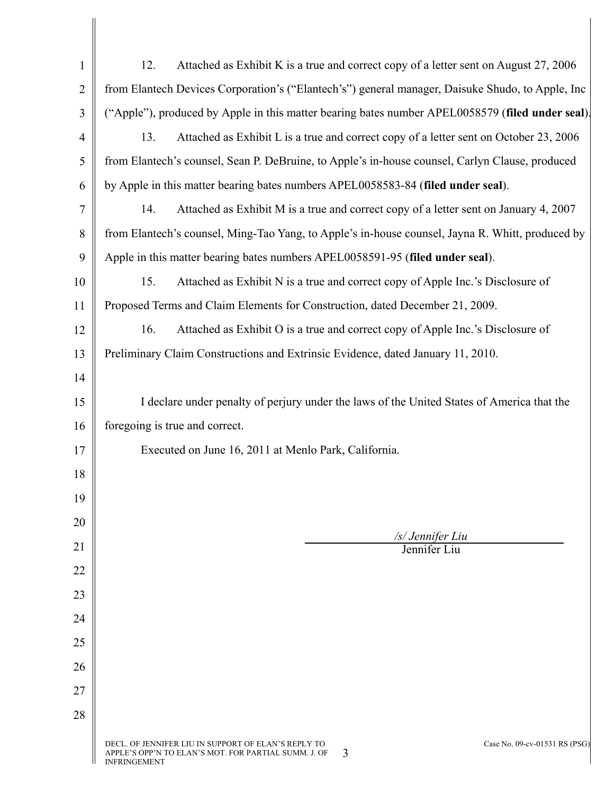| $\mathbf{1}$   | 12.<br>Attached as Exhibit K is a true and correct copy of a letter sent on August 27, 2006                                                                              |  |
|----------------|--------------------------------------------------------------------------------------------------------------------------------------------------------------------------|--|
| $\overline{2}$ | from Elantech Devices Corporation's ("Elantech's") general manager, Daisuke Shudo, to Apple, Inc                                                                         |  |
| 3              | ("Apple"), produced by Apple in this matter bearing bates number APEL0058579 (filed under seal).                                                                         |  |
| $\overline{4}$ | 13.<br>Attached as Exhibit L is a true and correct copy of a letter sent on October 23, 2006                                                                             |  |
| 5              | from Elantech's counsel, Sean P. DeBruine, to Apple's in-house counsel, Carlyn Clause, produced                                                                          |  |
| 6              | by Apple in this matter bearing bates numbers APEL0058583-84 (filed under seal).                                                                                         |  |
| 7              | 14.<br>Attached as Exhibit M is a true and correct copy of a letter sent on January 4, 2007                                                                              |  |
| $8\,$          | from Elantech's counsel, Ming-Tao Yang, to Apple's in-house counsel, Jayna R. Whitt, produced by                                                                         |  |
| 9              | Apple in this matter bearing bates numbers APEL0058591-95 (filed under seal).                                                                                            |  |
| 10             | 15.<br>Attached as Exhibit N is a true and correct copy of Apple Inc.'s Disclosure of                                                                                    |  |
| 11             | Proposed Terms and Claim Elements for Construction, dated December 21, 2009.                                                                                             |  |
| 12             | 16.<br>Attached as Exhibit O is a true and correct copy of Apple Inc.'s Disclosure of                                                                                    |  |
| 13             | Preliminary Claim Constructions and Extrinsic Evidence, dated January 11, 2010.                                                                                          |  |
| 14             |                                                                                                                                                                          |  |
| 15             | I declare under penalty of perjury under the laws of the United States of America that the                                                                               |  |
| 16             | foregoing is true and correct.                                                                                                                                           |  |
| 17             | Executed on June 16, 2011 at Menlo Park, California.                                                                                                                     |  |
| 18             |                                                                                                                                                                          |  |
| 19             |                                                                                                                                                                          |  |
| 20             |                                                                                                                                                                          |  |
| 21             | /s/ Jennifer Liu<br>Jennifer Liu                                                                                                                                         |  |
| 22             |                                                                                                                                                                          |  |
| 23             |                                                                                                                                                                          |  |
| 24             |                                                                                                                                                                          |  |
| 25             |                                                                                                                                                                          |  |
| 26             |                                                                                                                                                                          |  |
| 27             |                                                                                                                                                                          |  |
| 28             |                                                                                                                                                                          |  |
|                | DECL. OF JENNIFER LIU IN SUPPORT OF ELAN'S REPLY TO<br>Case No. 09-cv-01531 RS (PSG)<br>APPLE'S OPP'N TO ELAN'S MOT. FOR PARTIAL SUMM. J. OF<br>3<br><b>INFRINGEMENT</b> |  |